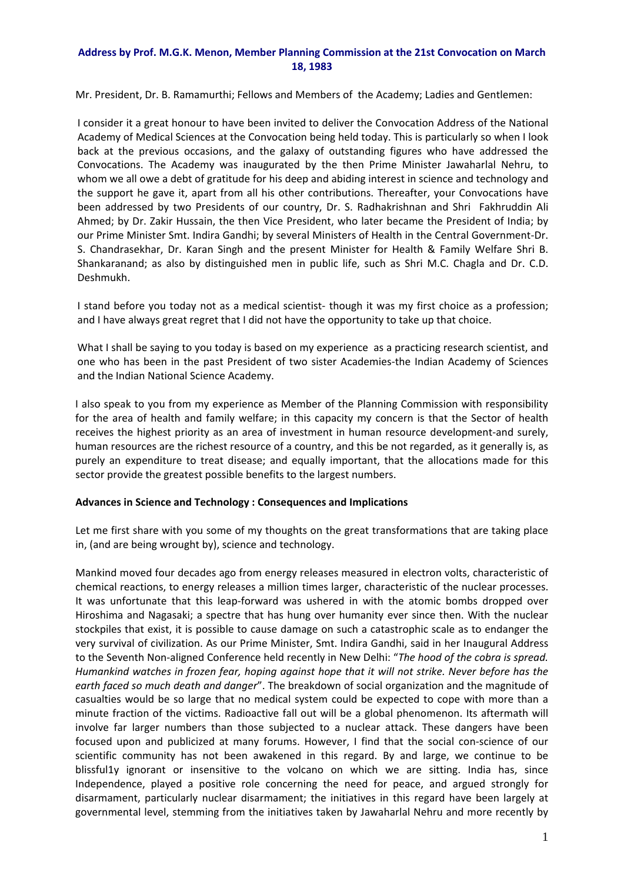## **Address by Prof. M.G.K. Menon, Member Planning Commission at the 21st Convocation on March 18, 1983**

Mr. President, Dr. B. Ramamurthi; Fellows and Members of the Academy; Ladies and Gentlemen:

I consider it a great honour to have been invited to deliver the Convocation Address of the National Academy of Medical Sciences at the Convocation being held today. This is particularly so when I look back at the previous occasions, and the galaxy of outstanding figures who have addressed the Convocations. The Academy was inaugurated by the then Prime Minister Jawaharlal Nehru, to whom we all owe a debt of gratitude for his deep and abiding interest in science and technology and the support he gave it, apart from all his other contributions. Thereafter, your Convocations have been addressed by two Presidents of our country, Dr. S. Radhakrishnan and Shri Fakhruddin Ali Ahmed; by Dr. Zakir Hussain, the then Vice President, who later became the President of India; by our Prime Minister Smt. Indira Gandhi; by several Ministers of Health in the Central Government‐Dr. S. Chandrasekhar, Dr. Karan Singh and the present Minister for Health & Family Welfare Shri B. Shankaranand; as also by distinguished men in public life, such as Shri M.C. Chagla and Dr. C.D. Deshmukh.

I stand before you today not as a medical scientist- though it was my first choice as a profession; and I have always great regret that I did not have the opportunity to take up that choice.

What I shall be saying to you today is based on my experience as a practicing research scientist, and one who has been in the past President of two sister Academies-the Indian Academy of Sciences and the Indian National Science Academy.

I also speak to you from my experience as Member of the Planning Commission with responsibility for the area of health and family welfare; in this capacity my concern is that the Sector of health receives the highest priority as an area of investment in human resource development-and surely, human resources are the richest resource of a country, and this be not regarded, as it generally is, as purely an expenditure to treat disease; and equally important, that the allocations made for this sector provide the greatest possible benefits to the largest numbers.

## **Advances in Science and Technology : Consequences and Implications**

Let me first share with you some of my thoughts on the great transformations that are taking place in, (and are being wrought by), science and technology.

Mankind moved four decades ago from energy releases measured in electron volts, characteristic of chemical reactions, to energy releases a million times larger, characteristic of the nuclear processes. It was unfortunate that this leap-forward was ushered in with the atomic bombs dropped over Hiroshima and Nagasaki; a spectre that has hung over humanity ever since then. With the nuclear stockpiles that exist, it is possible to cause damage on such a catastrophic scale as to endanger the very survival of civilization. As our Prime Minister, Smt. Indira Gandhi, said in her Inaugural Address to the Seventh Non‐aligned Conference held recently in New Delhi: "*The hood of the cobra is spread. Humankind watches in frozen fear, hoping against hope that it will not strike. Never before has the earth faced so much death and danger*". The breakdown of social organization and the magnitude of casualties would be so large that no medical system could be expected to cope with more than a minute fraction of the victims. Radioactive fall out will be a global phenomenon. Its aftermath will involve far larger numbers than those subjected to a nuclear attack. These dangers have been focused upon and publicized at many forums. However, I find that the social con-science of our scientific community has not been awakened in this regard. By and large, we continue to be blissful1y ignorant or insensitive to the volcano on which we are sitting. India has, since Independence, played a positive role concerning the need for peace, and argued strongly for disarmament, particularly nuclear disarmament; the initiatives in this regard have been largely at governmental level, stemming from the initiatives taken by Jawaharlal Nehru and more recently by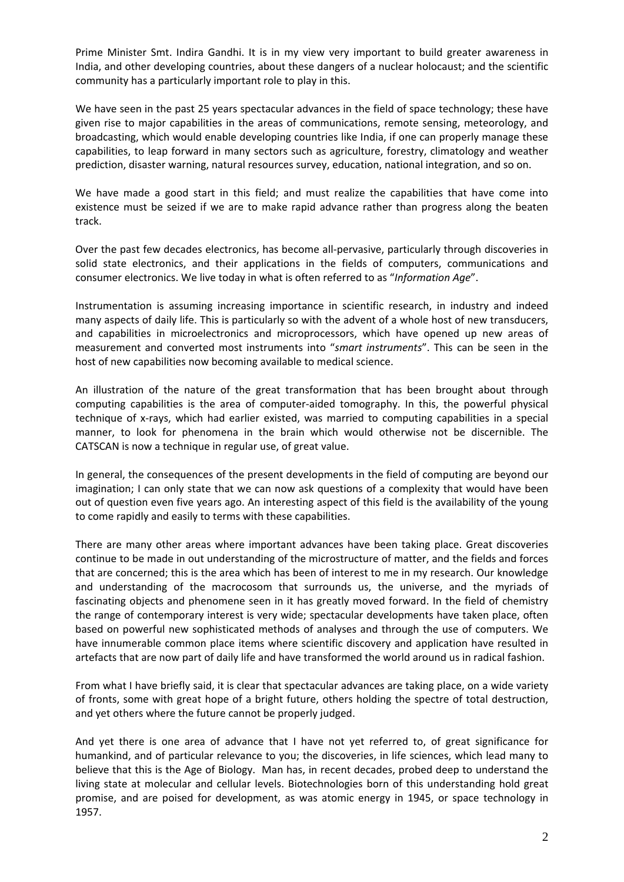Prime Minister Smt. Indira Gandhi. It is in my view very important to build greater awareness in India, and other developing countries, about these dangers of a nuclear holocaust; and the scientific community has a particularly important role to play in this.

We have seen in the past 25 years spectacular advances in the field of space technology; these have given rise to major capabilities in the areas of communications, remote sensing, meteorology, and broadcasting, which would enable developing countries like India, if one can properly manage these capabilities, to leap forward in many sectors such as agriculture, forestry, climatology and weather prediction, disaster warning, natural resources survey, education, national integration, and so on.

We have made a good start in this field; and must realize the capabilities that have come into existence must be seized if we are to make rapid advance rather than progress along the beaten track.

Over the past few decades electronics, has become all-pervasive, particularly through discoveries in solid state electronics, and their applications in the fields of computers, communications and consumer electronics. We live today in what is often referred to as "*Information Age*".

Instrumentation is assuming increasing importance in scientific research, in industry and indeed many aspects of daily life. This is particularly so with the advent of a whole host of new transducers, and capabilities in microelectronics and microprocessors, which have opened up new areas of measurement and converted most instruments into "*smart instruments*". This can be seen in the host of new capabilities now becoming available to medical science.

An illustration of the nature of the great transformation that has been brought about through computing capabilities is the area of computer‐aided tomography. In this, the powerful physical technique of x‐rays, which had earlier existed, was married to computing capabilities in a special manner, to look for phenomena in the brain which would otherwise not be discernible. The CATSCAN is now a technique in regular use, of great value.

In general, the consequences of the present developments in the field of computing are beyond our imagination; I can only state that we can now ask questions of a complexity that would have been out of question even five years ago. An interesting aspect of this field is the availability of the young to come rapidly and easily to terms with these capabilities.

There are many other areas where important advances have been taking place. Great discoveries continue to be made in out understanding of the microstructure of matter, and the fields and forces that are concerned; this is the area which has been of interest to me in my research. Our knowledge and understanding of the macrocosom that surrounds us, the universe, and the myriads of fascinating objects and phenomene seen in it has greatly moved forward. In the field of chemistry the range of contemporary interest is very wide; spectacular developments have taken place, often based on powerful new sophisticated methods of analyses and through the use of computers. We have innumerable common place items where scientific discovery and application have resulted in artefacts that are now part of daily life and have transformed the world around us in radical fashion.

From what I have briefly said, it is clear that spectacular advances are taking place, on a wide variety of fronts, some with great hope of a bright future, others holding the spectre of total destruction, and yet others where the future cannot be properly judged.

And yet there is one area of advance that I have not yet referred to, of great significance for humankind, and of particular relevance to you; the discoveries, in life sciences, which lead many to believe that this is the Age of Biology. Man has, in recent decades, probed deep to understand the living state at molecular and cellular levels. Biotechnologies born of this understanding hold great promise, and are poised for development, as was atomic energy in 1945, or space technology in 1957.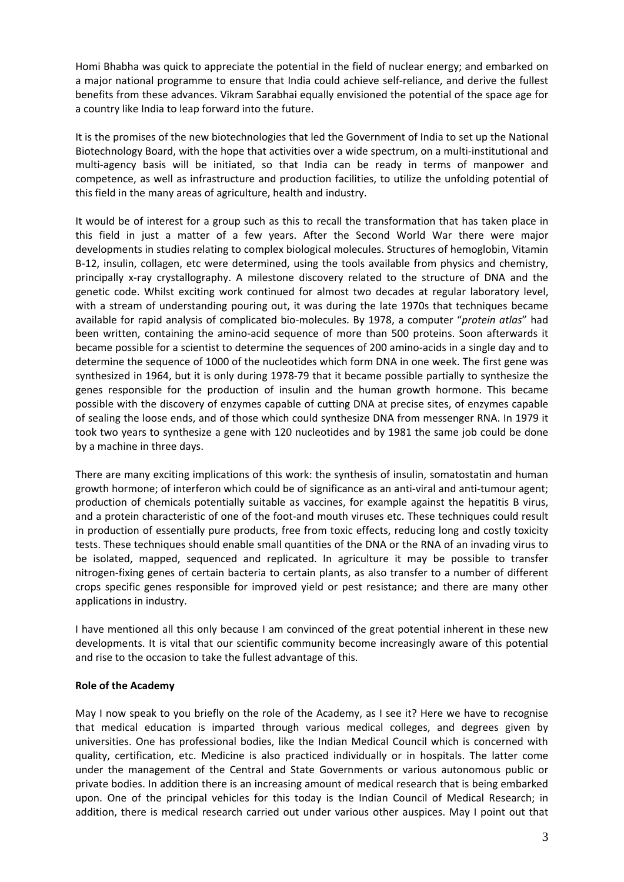Homi Bhabha was quick to appreciate the potential in the field of nuclear energy; and embarked on a major national programme to ensure that India could achieve self-reliance, and derive the fullest benefits from these advances. Vikram Sarabhai equally envisioned the potential of the space age for a country like India to leap forward into the future.

It is the promises of the new biotechnologies that led the Government of India to set up the National Biotechnology Board, with the hope that activities over a wide spectrum, on a multi‐institutional and multi-agency basis will be initiated, so that India can be ready in terms of manpower and competence, as well as infrastructure and production facilities, to utilize the unfolding potential of this field in the many areas of agriculture, health and industry.

It would be of interest for a group such as this to recall the transformation that has taken place in this field in just a matter of a few years. After the Second World War there were major developments in studies relating to complex biological molecules. Structures of hemoglobin, Vitamin B-12, insulin, collagen, etc were determined, using the tools available from physics and chemistry, principally x‐ray crystallography. A milestone discovery related to the structure of DNA and the genetic code. Whilst exciting work continued for almost two decades at regular laboratory level, with a stream of understanding pouring out, it was during the late 1970s that techniques became available for rapid analysis of complicated bio‐molecules. By 1978, a computer "*protein atlas*" had been written, containing the amino-acid sequence of more than 500 proteins. Soon afterwards it became possible for a scientist to determine the sequences of 200 amino‐acids in a single day and to determine the sequence of 1000 of the nucleotides which form DNA in one week. The first gene was synthesized in 1964, but it is only during 1978‐79 that it became possible partially to synthesize the genes responsible for the production of insulin and the human growth hormone. This became possible with the discovery of enzymes capable of cutting DNA at precise sites, of enzymes capable of sealing the loose ends, and of those which could synthesize DNA from messenger RNA. In 1979 it took two years to synthesize a gene with 120 nucleotides and by 1981 the same job could be done by a machine in three days.

There are many exciting implications of this work: the synthesis of insulin, somatostatin and human growth hormone; of interferon which could be of significance as an anti-viral and anti-tumour agent; production of chemicals potentially suitable as vaccines, for example against the hepatitis B virus, and a protein characteristic of one of the foot-and mouth viruses etc. These techniques could result in production of essentially pure products, free from toxic effects, reducing long and costly toxicity tests. These techniques should enable small quantities of the DNA or the RNA of an invading virus to be isolated, mapped, sequenced and replicated. In agriculture it may be possible to transfer nitrogen‐fixing genes of certain bacteria to certain plants, as also transfer to a number of different crops specific genes responsible for improved yield or pest resistance; and there are many other applications in industry.

I have mentioned all this only because I am convinced of the great potential inherent in these new developments. It is vital that our scientific community become increasingly aware of this potential and rise to the occasion to take the fullest advantage of this.

## **Role of the Academy**

May I now speak to you briefly on the role of the Academy, as I see it? Here we have to recognise that medical education is imparted through various medical colleges, and degrees given by universities. One has professional bodies, like the Indian Medical Council which is concerned with quality, certification, etc. Medicine is also practiced individually or in hospitals. The latter come under the management of the Central and State Governments or various autonomous public or private bodies. In addition there is an increasing amount of medical research that is being embarked upon. One of the principal vehicles for this today is the Indian Council of Medical Research; in addition, there is medical research carried out under various other auspices. May I point out that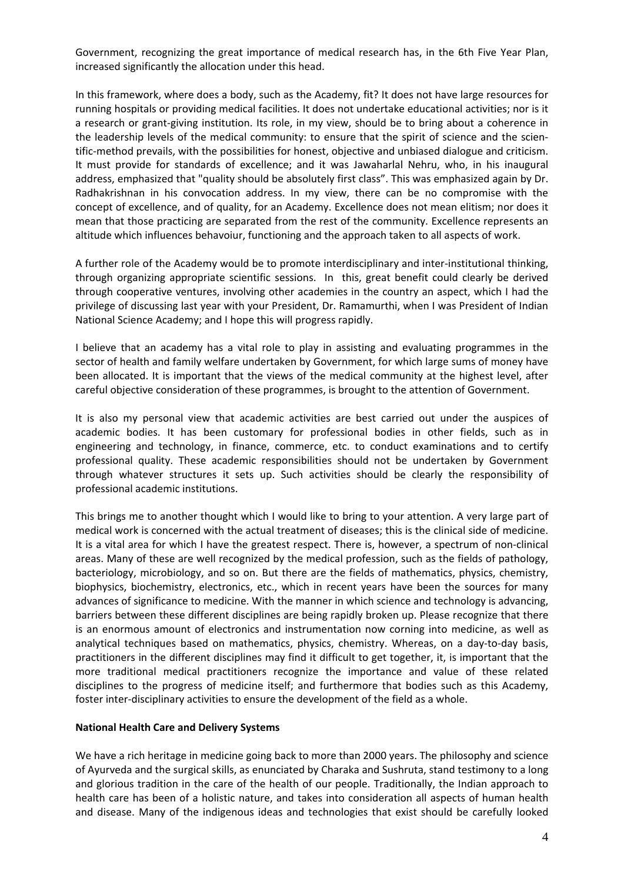Government, recognizing the great importance of medical research has, in the 6th Five Year Plan, increased significantly the allocation under this head.

In this framework, where does a body, such as the Academy, fit? It does not have large resources for running hospitals or providing medical facilities. It does not undertake educational activities; nor is it a research or grant‐giving institution. Its role, in my view, should be to bring about a coherence in the leadership levels of the medical community: to ensure that the spirit of science and the scien‐ tific‐method prevails, with the possibilities for honest, objective and unbiased dialogue and criticism. It must provide for standards of excellence; and it was Jawaharlal Nehru, who, in his inaugural address, emphasized that "quality should be absolutely first class". This was emphasized again by Dr. Radhakrishnan in his convocation address. In my view, there can be no compromise with the concept of excellence, and of quality, for an Academy. Excellence does not mean elitism; nor does it mean that those practicing are separated from the rest of the community. Excellence represents an altitude which influences behavoiur, functioning and the approach taken to all aspects of work.

A further role of the Academy would be to promote interdisciplinary and inter‐institutional thinking, through organizing appropriate scientific sessions. In this, great benefit could clearly be derived through cooperative ventures, involving other academies in the country an aspect, which I had the privilege of discussing last year with your President, Dr. Ramamurthi, when I was President of Indian National Science Academy; and I hope this will progress rapidly.

I believe that an academy has a vital role to play in assisting and evaluating programmes in the sector of health and family welfare undertaken by Government, for which large sums of money have been allocated. It is important that the views of the medical community at the highest level, after careful objective consideration of these programmes, is brought to the attention of Government.

It is also my personal view that academic activities are best carried out under the auspices of academic bodies. It has been customary for professional bodies in other fields, such as in engineering and technology, in finance, commerce, etc. to conduct examinations and to certify professional quality. These academic responsibilities should not be undertaken by Government through whatever structures it sets up. Such activities should be clearly the responsibility of professional academic institutions.

This brings me to another thought which I would like to bring to your attention. A very large part of medical work is concerned with the actual treatment of diseases; this is the clinical side of medicine. It is a vital area for which I have the greatest respect. There is, however, a spectrum of non-clinical areas. Many of these are well recognized by the medical profession, such as the fields of pathology, bacteriology, microbiology, and so on. But there are the fields of mathematics, physics, chemistry, biophysics, biochemistry, electronics, etc., which in recent years have been the sources for many advances of significance to medicine. With the manner in which science and technology is advancing, barriers between these different disciplines are being rapidly broken up. Please recognize that there is an enormous amount of electronics and instrumentation now corning into medicine, as well as analytical techniques based on mathematics, physics, chemistry. Whereas, on a day-to-day basis, practitioners in the different disciplines may find it difficult to get together, it, is important that the more traditional medical practitioners recognize the importance and value of these related disciplines to the progress of medicine itself; and furthermore that bodies such as this Academy, foster inter-disciplinary activities to ensure the development of the field as a whole.

## **National Health Care and Delivery Systems**

We have a rich heritage in medicine going back to more than 2000 years. The philosophy and science of Ayurveda and the surgical skills, as enunciated by Charaka and Sushruta, stand testimony to a long and glorious tradition in the care of the health of our people. Traditionally, the Indian approach to health care has been of a holistic nature, and takes into consideration all aspects of human health and disease. Many of the indigenous ideas and technologies that exist should be carefully looked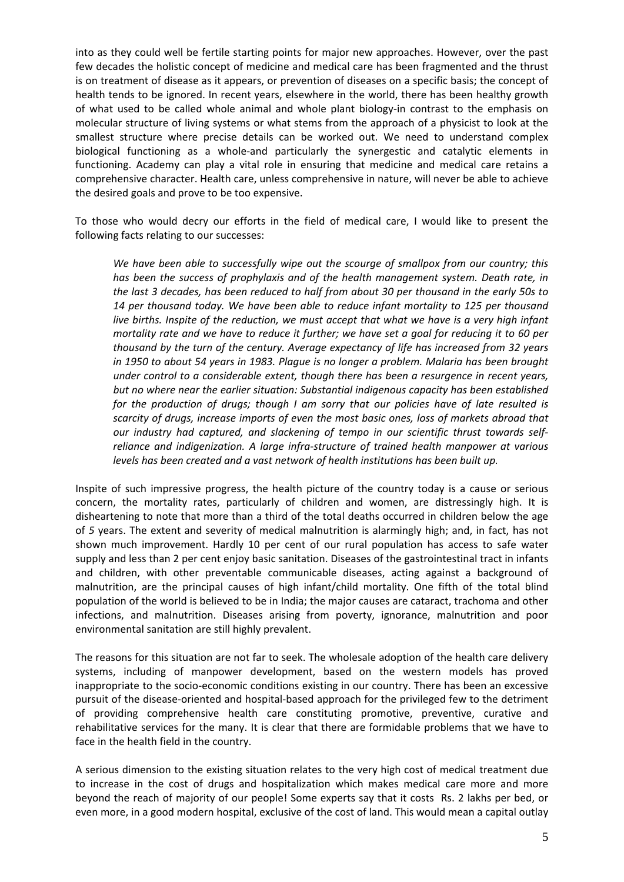into as they could well be fertile starting points for major new approaches. However, over the past few decades the holistic concept of medicine and medical care has been fragmented and the thrust is on treatment of disease as it appears, or prevention of diseases on a specific basis; the concept of health tends to be ignored. In recent years, elsewhere in the world, there has been healthy growth of what used to be called whole animal and whole plant biology-in contrast to the emphasis on molecular structure of living systems or what stems from the approach of a physicist to look at the smallest structure where precise details can be worked out. We need to understand complex biological functioning as a whole-and particularly the synergestic and catalytic elements in functioning. Academy can play a vital role in ensuring that medicine and medical care retains a comprehensive character. Health care, unless comprehensive in nature, will never be able to achieve the desired goals and prove to be too expensive.

To those who would decry our efforts in the field of medical care, I would like to present the following facts relating to our successes:

*We have been able to successfully wipe out the scourge of smallpox from our country; this has been the success of prophylaxis and of the health management system. Death rate, in the last 3 decades, has been reduced to half from about 30 per thousand in the early 50s to 14 per thousand today. We have been able to reduce infant mortality to 125 per thousand live births. Inspite of the reduction, we must accept that what we have is a very high infant* mortality rate and we have to reduce it further; we have set a goal for reducing it to 60 per *thousand by the turn of the century. Average expectancy of life has increased from 32 years in 1950 to about 54 years in 1983. Plague is no longer a problem. Malaria has been brought under control to a considerable extent, though there has been a resurgence in recent years, but no where near the earlier situation: Substantial indigenous capacity has been established for the production of drugs; though I am sorry that our policies have of late resulted is scarcity of drugs, increase imports of even the most basic ones, loss of markets abroad that our industry had captured, and slackening of tempo in our scientific thrust towards self‐ reliance and indigenization. A large infra‐structure of trained health manpower at various levels has been created and a vast network of health institutions has been built up.*

Inspite of such impressive progress, the health picture of the country today is a cause or serious concern, the mortality rates, particularly of children and women, are distressingly high. It is disheartening to note that more than a third of the total deaths occurred in children below the age of *5* years. The extent and severity of medical malnutrition is alarmingly high; and, in fact, has not shown much improvement. Hardly 10 per cent of our rural population has access to safe water supply and less than 2 per cent enjoy basic sanitation. Diseases of the gastrointestinal tract in infants and children, with other preventable communicable diseases, acting against a background of malnutrition, are the principal causes of high infant/child mortality. One fifth of the total blind population of the world is believed to be in India; the major causes are cataract, trachoma and other infections, and malnutrition. Diseases arising from poverty, ignorance, malnutrition and poor environmental sanitation are still highly prevalent.

The reasons for this situation are not far to seek. The wholesale adoption of the health care delivery systems, including of manpower development, based on the western models has proved inappropriate to the socio‐economic conditions existing in our country. There has been an excessive pursuit of the disease‐oriented and hospital‐based approach for the privileged few to the detriment of providing comprehensive health care constituting promotive, preventive, curative and rehabilitative services for the many. It is clear that there are formidable problems that we have to face in the health field in the country.

A serious dimension to the existing situation relates to the very high cost of medical treatment due to increase in the cost of drugs and hospitalization which makes medical care more and more beyond the reach of majority of our people! Some experts say that it costs Rs. 2 lakhs per bed, or even more, in a good modern hospital, exclusive of the cost of land. This would mean a capital outlay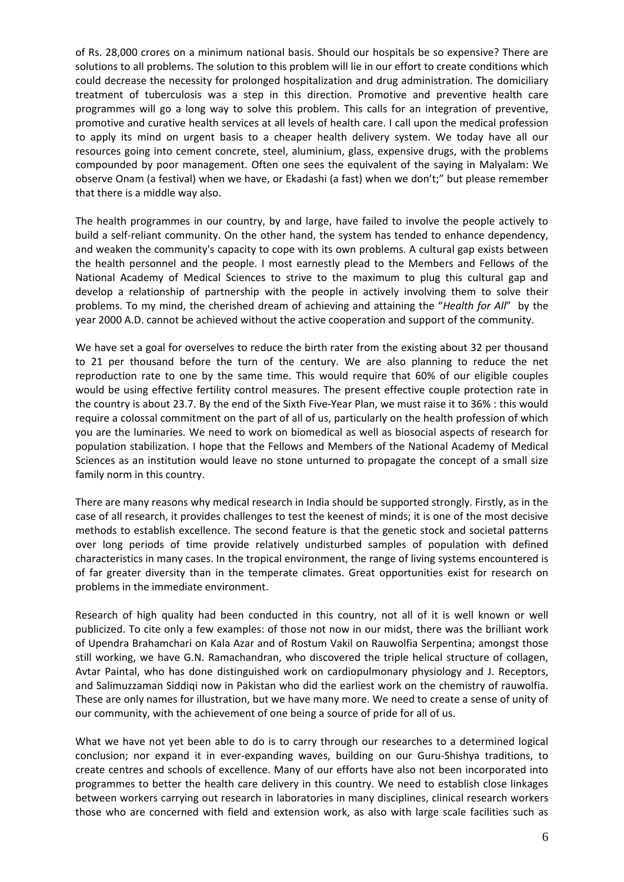of Rs. 28,000 crores on a minimum national basis. Should our hospitals be so expensive? There are solutions to all problems. The solution to this problem will lie in our effort to create conditions which could decrease the necessity for prolonged hospitalization and drug administration. The domiciliary treatment of tuberculosis was a step in this direction. Promotive and preventive health care programmes will go a long way to solve this problem. This calls for an integration of preventive, promotive and curative health services at all levels of health care. I call upon the medical profession to apply its mind on urgent basis to a cheaper health delivery system. We today have all our resources going into cement concrete, steel, aluminium, glass, expensive drugs, with the problems compounded by poor management. Often one sees the equivalent of the saying in Malyalam: We observe Onam (a festival) when we have, or Ekadashi (a fast) when we don't;" but please remember that there is a middle way also.

The health programmes in our country, by and large, have failed to involve the people actively to build a self-reliant community. On the other hand, the system has tended to enhance dependency, and weaken the community's capacity to cope with its own problems. A cultural gap exists between the health personnel and the people. I most earnestly plead to the Members and Fellows of the National Academy of Medical Sciences to strive to the maximum to plug this cultural gap and develop a relationship of partnership with the people in actively involving them to solve their problems. To my mind, the cherished dream of achieving and attaining the "*Health for All*" by the year 2000 A.D. cannot be achieved without the active cooperation and support of the community.

We have set a goal for overselves to reduce the birth rater from the existing about 32 per thousand to 21 per thousand before the turn of the century. We are also planning to reduce the net reproduction rate to one by the same time. This would require that 60% of our eligible couples would be using effective fertility control measures. The present effective couple protection rate in the country is about 23.7. By the end of the Sixth Five‐Year Plan, we must raise it to 36% : this would require a colossal commitment on the part of all of us, particularly on the health profession of which you are the luminaries. We need to work on biomedical as well as biosocial aspects of research for population stabilization. I hope that the Fellows and Members of the National Academy of Medical Sciences as an institution would leave no stone unturned to propagate the concept of a small size family norm in this country.

There are many reasons why medical research in India should be supported strongly. Firstly, as in the case of all research, it provides challenges to test the keenest of minds; it is one of the most decisive methods to establish excellence. The second feature is that the genetic stock and societal patterns over long periods of time provide relatively undisturbed samples of population with defined characteristics in many cases. In the tropical environment, the range of living systems encountered is of far greater diversity than in the temperate climates. Great opportunities exist for research on problems in the immediate environment.

Research of high quality had been conducted in this country, not all of it is well known or well publicized. To cite only a few examples: of those not now in our midst, there was the brilliant work of Upendra Brahamchari on Kala Azar and of Rostum Vakil on Rauwolfia Serpentina; amongst those still working, we have G.N. Ramachandran, who discovered the triple helical structure of collagen, Avtar Paintal, who has done distinguished work on cardiopulmonary physiology and J. Receptors, and Salimuzzaman Siddiqi now in Pakistan who did the earliest work on the chemistry of rauwolfia. These are only names for illustration, but we have many more. We need to create a sense of unity of our community, with the achievement of one being a source of pride for all of us.

What we have not yet been able to do is to carry through our researches to a determined logical conclusion; nor expand it in ever‐expanding waves, building on our Guru‐Shishya traditions, to create centres and schools of excellence. Many of our efforts have also not been incorporated into programmes to better the health care delivery in this country. We need to establish close linkages between workers carrying out research in laboratories in many disciplines, clinical research workers those who are concerned with field and extension work, as also with large scale facilities such as